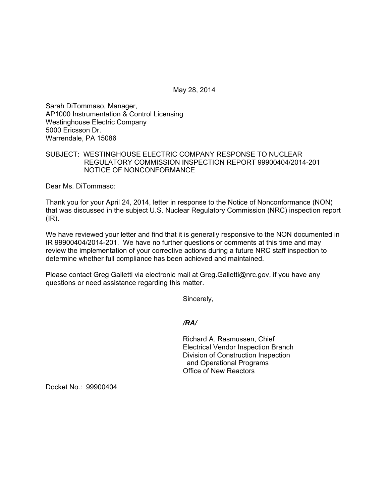May 28, 2014

Sarah DiTommaso, Manager, AP1000 Instrumentation & Control Licensing Westinghouse Electric Company 5000 Ericsson Dr. Warrendale, PA 15086

## SUBJECT: WESTINGHOUSE ELECTRIC COMPANY RESPONSE TO NUCLEAR REGULATORY COMMISSION INSPECTION REPORT 99900404/2014-201 NOTICE OF NONCONFORMANCE

Dear Ms. DiTommaso:

Thank you for your April 24, 2014, letter in response to the Notice of Nonconformance (NON) that was discussed in the subject U.S. Nuclear Regulatory Commission (NRC) inspection report  $(IR)$ .

We have reviewed your letter and find that it is generally responsive to the NON documented in IR 99900404/2014-201. We have no further questions or comments at this time and may review the implementation of your corrective actions during a future NRC staff inspection to determine whether full compliance has been achieved and maintained.

Please contact Greg Galletti via electronic mail at Greg.Galletti@nrc.gov, if you have any questions or need assistance regarding this matter.

Sincerely,

*/RA/* 

Richard A. Rasmussen, Chief Electrical Vendor Inspection Branch Division of Construction Inspection and Operational Programs Office of New Reactors

Docket No.: 99900404